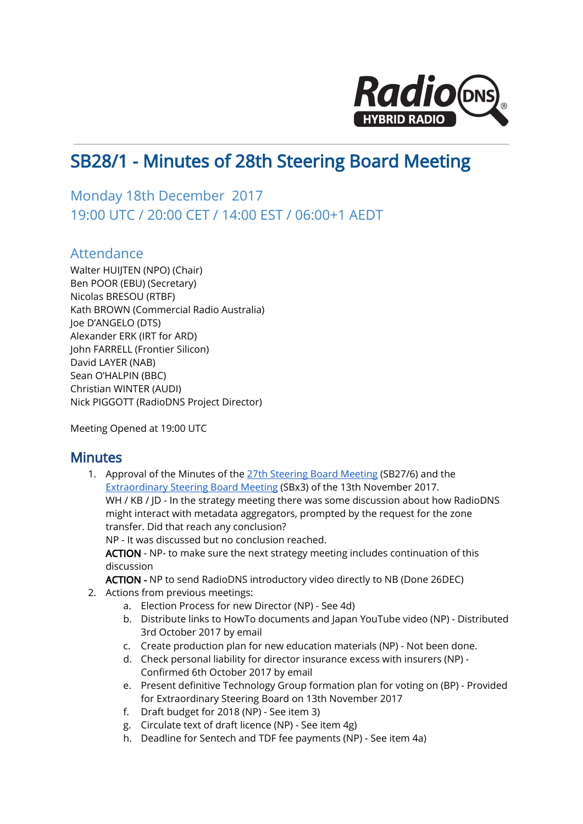

## SB28/1 - Minutes of 28th Steering Board Meeting

## Monday 18th December 2017 19:00 UTC / 20:00 CET / 14:00 EST / 06:00+1 AEDT

## Attendance

Walter HUIJTEN (NPO) (Chair) Ben POOR (EBU) (Secretary) Nicolas BRESOU (RTBF) Kath BROWN (Commercial Radio Australia) Joe D'ANGELO (DTS) Alexander ERK (IRT for ARD) John FARRELL (Frontier Silicon) David LAYER (NAB) Sean O'HALPIN (BBC) Christian WINTER (AUDI) Nick PIGGOTT (RadioDNS Project Director)

Meeting Opened at 19:00 UTC

## **Minutes**

1. Approval of the Minutes of the 27th [Steering](https://docs.google.com/document/d/1YeBEBkI0Z-WEd51_SJNL2vKB6sZ6mXsSjIKT9rNNzFs/edit) Board Meeting (SB27/6) and the [Extraordinary](https://docs.google.com/document/d/1vj1FFuNZoTTg-rEb7EmrRoWxLWUeyMChYCxzefiq8vw/edit) Steering Board Meeting (SBx3) of the 13th November 2017. WH / KB / JD - In the strategy meeting there was some discussion about how RadioDNS might interact with metadata aggregators, prompted by the request for the zone transfer. Did that reach any conclusion?

NP - It was discussed but no conclusion reached.

ACTION - NP- to make sure the next strategy meeting includes continuation of this discussion

ACTION - NP to send RadioDNS introductory video directly to NB (Done 26DEC)

- 2. Actions from previous meetings:
	- a. Election Process for new Director (NP) See 4d)
	- b. Distribute links to HowTo documents and Japan YouTube video (NP) Distributed 3rd October 2017 by email
	- c. Create production plan for new education materials (NP) Not been done.
	- d. Check personal liability for director insurance excess with insurers (NP) Confirmed 6th October 2017 by email
	- e. Present definitive Technology Group formation plan for voting on (BP) Provided for Extraordinary Steering Board on 13th November 2017
	- f. Draft budget for 2018 (NP) See item 3)
	- g. Circulate text of draft licence (NP) See item 4g)
	- h. Deadline for Sentech and TDF fee payments (NP) See item 4a)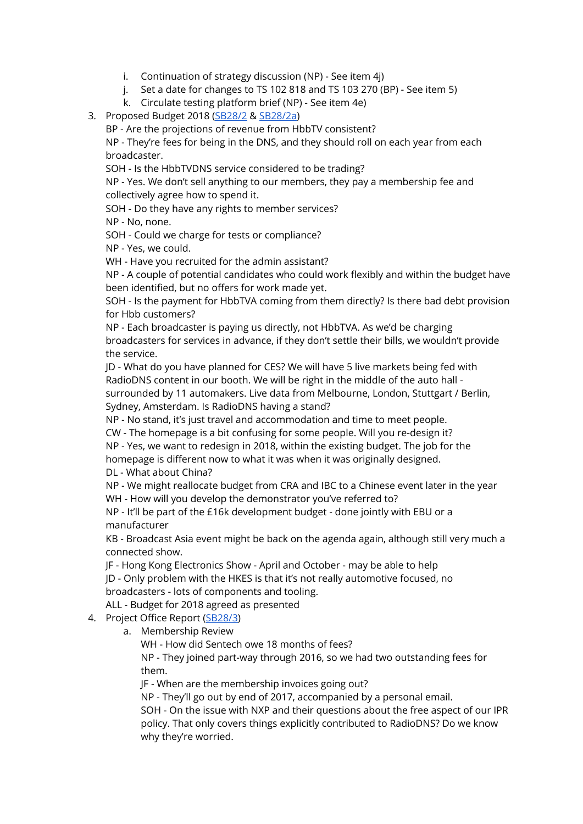- i. Continuation of strategy discussion (NP) See item 4j)
- j. Set a date for changes to TS 102 818 and TS 103 270 (BP) See item 5)
- k. Circulate testing platform brief (NP) See item 4e)
- 3. Proposed Budget 2018 ([SB28/2](https://docs.google.com/document/d/1pdUtmZn6IPzAiNCl5L94ggtLONuxxrG-DE4wZwEZnOg/edit#heading=h.qm8gzbyxgu59) & [SB28/2a](https://drive.google.com/file/d/1A1c1P0R8C2-VmoeLF0UZq4pbCbgkNqtN/view))

BP - Are the projections of revenue from HbbTV consistent? NP - They're fees for being in the DNS, and they should roll on each year from each broadcaster.

SOH - Is the HbbTVDNS service considered to be trading?

NP - Yes. We don't sell anything to our members, they pay a membership fee and collectively agree how to spend it.

SOH - Do they have any rights to member services?

NP - No, none.

SOH - Could we charge for tests or compliance?

NP - Yes, we could.

WH - Have you recruited for the admin assistant?

NP - A couple of potential candidates who could work flexibly and within the budget have been identified, but no offers for work made yet.

SOH - Is the payment for HbbTVA coming from them directly? Is there bad debt provision for Hbb customers?

NP - Each broadcaster is paying us directly, not HbbTVA. As we'd be charging broadcasters for services in advance, if they don't settle their bills, we wouldn't provide the service.

JD - What do you have planned for CES? We will have 5 live markets being fed with RadioDNS content in our booth. We will be right in the middle of the auto hall surrounded by 11 automakers. Live data from Melbourne, London, Stuttgart / Berlin, Sydney, Amsterdam. Is RadioDNS having a stand?

NP - No stand, it's just travel and accommodation and time to meet people.

CW - The homepage is a bit confusing for some people. Will you re-design it?

NP - Yes, we want to redesign in 2018, within the existing budget. The job for the

homepage is different now to what it was when it was originally designed.

DL - What about China?

NP - We might reallocate budget from CRA and IBC to a Chinese event later in the year WH - How will you develop the demonstrator you've referred to?

NP - It'll be part of the £16k development budget - done jointly with EBU or a manufacturer

KB - Broadcast Asia event might be back on the agenda again, although still very much a connected show.

JF - Hong Kong Electronics Show - April and October - may be able to help

JD - Only problem with the HKES is that it's not really automotive focused, no broadcasters - lots of components and tooling.

ALL - Budget for 2018 agreed as presented

- 4. Project Office Report [\(SB28/3](https://docs.google.com/document/d/1N2wPA-0e5dQxnAkQ2ytrlt11xHOyB8ZdjprF7dfEEvA/edit#))
	- a. Membership Review

WH - How did Sentech owe 18 months of fees?

NP - They joined part-way through 2016, so we had two outstanding fees for them.

JF - When are the membership invoices going out?

NP - They'll go out by end of 2017, accompanied by a personal email.

SOH - On the issue with NXP and their questions about the free aspect of our IPR policy. That only covers things explicitly contributed to RadioDNS? Do we know why they're worried.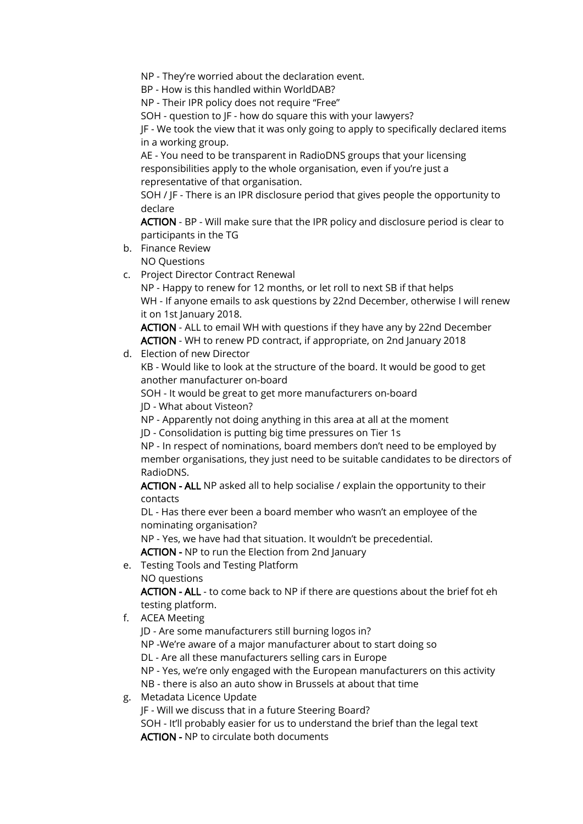NP - They're worried about the declaration event.

BP - How is this handled within WorldDAB?

NP - Their IPR policy does not require "Free"

SOH - question to JF - how do square this with your lawyers?

JF - We took the view that it was only going to apply to specifically declared items in a working group.

AE - You need to be transparent in RadioDNS groups that your licensing responsibilities apply to the whole organisation, even if you're just a representative of that organisation.

SOH / JF - There is an IPR disclosure period that gives people the opportunity to declare

ACTION - BP - Will make sure that the IPR policy and disclosure period is clear to participants in the TG

- b. Finance Review NO Questions
- c. Project Director Contract Renewal

NP - Happy to renew for 12 months, or let roll to next SB if that helps WH - If anyone emails to ask questions by 22nd December, otherwise I will renew it on 1st January 2018.

ACTION - ALL to email WH with questions if they have any by 22nd December ACTION - WH to renew PD contract, if appropriate, on 2nd January 2018

d. Election of new Director

KB - Would like to look at the structure of the board. It would be good to get another manufacturer on-board

SOH - It would be great to get more manufacturers on-board JD - What about Visteon?

NP - Apparently not doing anything in this area at all at the moment

JD - Consolidation is putting big time pressures on Tier 1s

NP - In respect of nominations, board members don't need to be employed by member organisations, they just need to be suitable candidates to be directors of RadioDNS.

ACTION - ALL NP asked all to help socialise / explain the opportunity to their contacts

DL - Has there ever been a board member who wasn't an employee of the nominating organisation?

NP - Yes, we have had that situation. It wouldn't be precedential.

ACTION - NP to run the Election from 2nd January

e. Testing Tools and Testing Platform

NO questions

ACTION - ALL - to come back to NP if there are questions about the brief fot eh testing platform.

f. ACEA Meeting

JD - Are some manufacturers still burning logos in?

NP -We're aware of a major manufacturer about to start doing so

DL - Are all these manufacturers selling cars in Europe

NP - Yes, we're only engaged with the European manufacturers on this activity NB - there is also an auto show in Brussels at about that time

g. Metadata Licence Update

JF - Will we discuss that in a future Steering Board?

SOH - It'll probably easier for us to understand the brief than the legal text ACTION - NP to circulate both documents